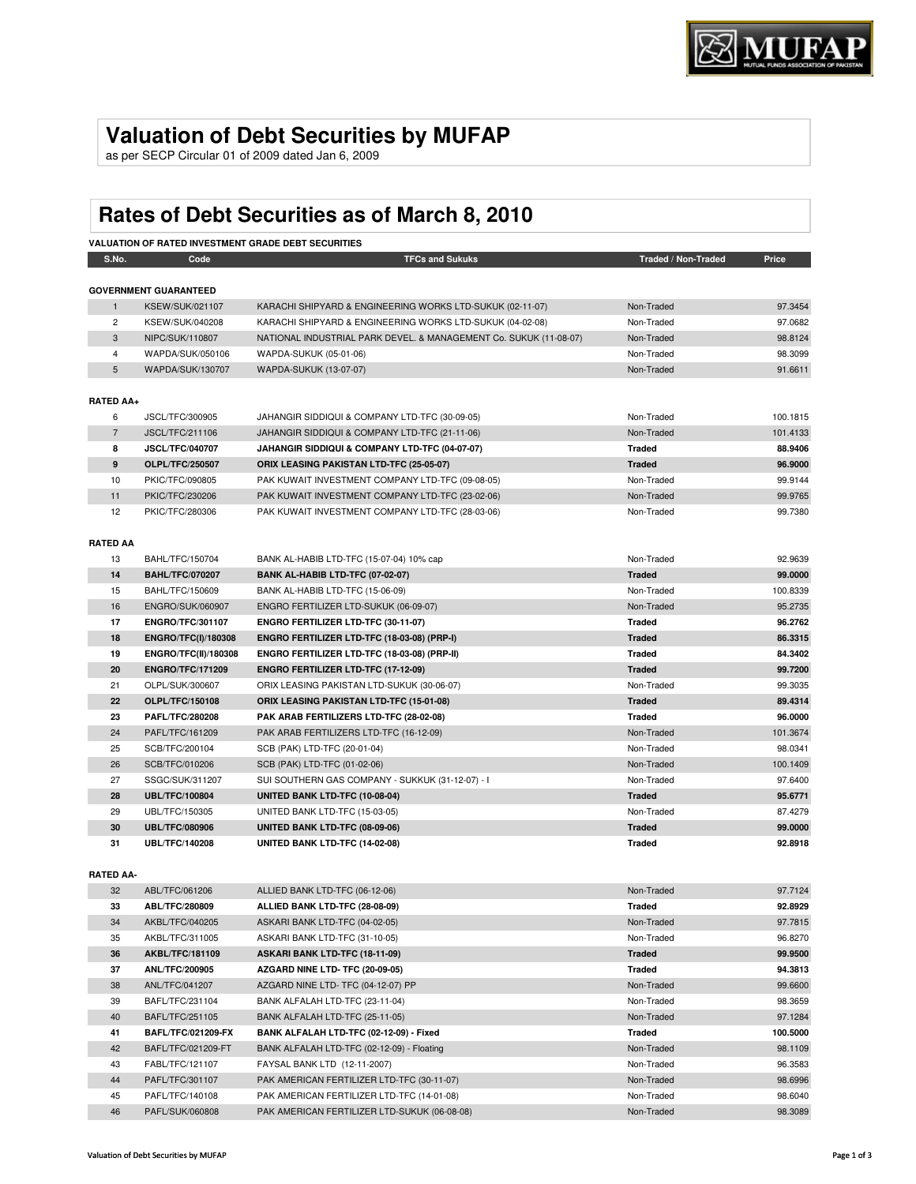## **Valuation of Debt Securities by MUFAP**

as per SECP Circular 01 of 2009 dated Jan 6, 2009

# **Rates of Debt Securities as of March 8, 2010**

| S.No.            | Code                         | <b>VALUATION OF RATED INVESTMENT GRADE DEBT SECURITIES</b><br><b>TFCs and Sukuks</b> | Traded / Non-Traded | Price    |
|------------------|------------------------------|--------------------------------------------------------------------------------------|---------------------|----------|
|                  |                              |                                                                                      |                     |          |
|                  | <b>GOVERNMENT GUARANTEED</b> |                                                                                      |                     |          |
| 1                | <b>KSEW/SUK/021107</b>       | KARACHI SHIPYARD & ENGINEERING WORKS LTD-SUKUK (02-11-07)                            | Non-Traded          | 97.3454  |
| $\overline{c}$   | KSEW/SUK/040208              | KARACHI SHIPYARD & ENGINEERING WORKS LTD-SUKUK (04-02-08)                            | Non-Traded          | 97.0682  |
| 3                | NIPC/SUK/110807              | NATIONAL INDUSTRIAL PARK DEVEL. & MANAGEMENT Co. SUKUK (11-08-07)                    | Non-Traded          | 98.8124  |
| 4                | WAPDA/SUK/050106             | WAPDA-SUKUK (05-01-06)                                                               | Non-Traded          | 98.3099  |
| 5                | WAPDA/SUK/130707             | WAPDA-SUKUK (13-07-07)                                                               | Non-Traded          | 91.6611  |
| <b>RATED AA+</b> |                              |                                                                                      |                     |          |
| 6                | JSCL/TFC/300905              | JAHANGIR SIDDIQUI & COMPANY LTD-TFC (30-09-05)                                       | Non-Traded          | 100.1815 |
| $\overline{7}$   | JSCL/TFC/211106              | JAHANGIR SIDDIQUI & COMPANY LTD-TFC (21-11-06)                                       | Non-Traded          | 101.4133 |
| 8                | <b>JSCL/TFC/040707</b>       | JAHANGIR SIDDIQUI & COMPANY LTD-TFC (04-07-07)                                       | <b>Traded</b>       | 88.9406  |
| 9                | <b>OLPL/TFC/250507</b>       | ORIX LEASING PAKISTAN LTD-TFC (25-05-07)                                             | <b>Traded</b>       | 96.9000  |
| 10               | PKIC/TFC/090805              | PAK KUWAIT INVESTMENT COMPANY LTD-TFC (09-08-05)                                     | Non-Traded          | 99.9144  |
| 11               | PKIC/TFC/230206              | PAK KUWAIT INVESTMENT COMPANY LTD-TFC (23-02-06)                                     | Non-Traded          | 99.9765  |
| 12               | PKIC/TFC/280306              | PAK KUWAIT INVESTMENT COMPANY LTD-TFC (28-03-06)                                     | Non-Traded          | 99.7380  |
| <b>RATED AA</b>  |                              |                                                                                      |                     |          |
| 13               | BAHL/TFC/150704              | BANK AL-HABIB LTD-TFC (15-07-04) 10% cap                                             | Non-Traded          | 92.9639  |
| 14               | <b>BAHL/TFC/070207</b>       | BANK AL-HABIB LTD-TFC (07-02-07)                                                     | <b>Traded</b>       | 99.0000  |
| 15               | BAHL/TFC/150609              | BANK AL-HABIB LTD-TFC (15-06-09)                                                     | Non-Traded          | 100.8339 |
| 16               | ENGRO/SUK/060907             | ENGRO FERTILIZER LTD-SUKUK (06-09-07)                                                | Non-Traded          | 95.2735  |
| 17               | <b>ENGRO/TFC/301107</b>      | ENGRO FERTILIZER LTD-TFC (30-11-07)                                                  | <b>Traded</b>       | 96.2762  |
| 18               | <b>ENGRO/TFC(I)/180308</b>   | ENGRO FERTILIZER LTD-TFC (18-03-08) (PRP-I)                                          | <b>Traded</b>       | 86.3315  |
| 19               | <b>ENGRO/TFC(II)/180308</b>  | ENGRO FERTILIZER LTD-TFC (18-03-08) (PRP-II)                                         | <b>Traded</b>       | 84.3402  |
| 20               | <b>ENGRO/TFC/171209</b>      | <b>ENGRO FERTILIZER LTD-TFC (17-12-09)</b>                                           | <b>Traded</b>       | 99.7200  |
| 21               | OLPL/SUK/300607              | ORIX LEASING PAKISTAN LTD-SUKUK (30-06-07)                                           | Non-Traded          | 99.3035  |
| 22               | OLPL/TFC/150108              | <b>ORIX LEASING PAKISTAN LTD-TFC (15-01-08)</b>                                      | <b>Traded</b>       | 89.4314  |
| 23               | <b>PAFL/TFC/280208</b>       | PAK ARAB FERTILIZERS LTD-TFC (28-02-08)                                              | Traded              | 96.0000  |
| 24               | PAFL/TFC/161209              | PAK ARAB FERTILIZERS LTD-TFC (16-12-09)                                              | Non-Traded          | 101.3674 |
| 25               | SCB/TFC/200104               | SCB (PAK) LTD-TFC (20-01-04)                                                         | Non-Traded          | 98.0341  |
| 26               | SCB/TFC/010206               | SCB (PAK) LTD-TFC (01-02-06)                                                         | Non-Traded          | 100.1409 |
| 27               | SSGC/SUK/311207              | SUI SOUTHERN GAS COMPANY - SUKKUK (31-12-07) - I                                     | Non-Traded          | 97.6400  |
| 28               | <b>UBL/TFC/100804</b>        | UNITED BANK LTD-TFC (10-08-04)                                                       | <b>Traded</b>       | 95.6771  |
| 29               | UBL/TFC/150305               | UNITED BANK LTD-TFC (15-03-05)                                                       | Non-Traded          | 87.4279  |
| 30               | <b>UBL/TFC/080906</b>        | UNITED BANK LTD-TFC (08-09-06)                                                       | <b>Traded</b>       | 99.0000  |
| 31               | <b>UBL/TFC/140208</b>        | UNITED BANK LTD-TFC (14-02-08)                                                       | <b>Traded</b>       | 92.8918  |
|                  |                              |                                                                                      |                     |          |
| <b>RATED AA-</b> |                              |                                                                                      |                     |          |
| 32               | ABL/TFC/061206               | ALLIED BANK LTD-TFC (06-12-06)                                                       | Non-Traded          | 97.7124  |
| 33               | ABL/TFC/280809               | ALLIED BANK LTD-TFC (28-08-09)                                                       | <b>Traded</b>       | 92.8929  |
| 34               | AKBL/TFC/040205              | ASKARI BANK LTD-TFC (04-02-05)                                                       | Non-Traded          | 97.7815  |
| 35               | AKBL/TFC/311005              | ASKARI BANK LTD-TFC (31-10-05)                                                       | Non-Traded          | 96.8270  |
| 36               | AKBL/TFC/181109              | ASKARI BANK LTD-TFC (18-11-09)                                                       | <b>Traded</b>       | 99.9500  |
| 37               | <b>ANL/TFC/200905</b>        | AZGARD NINE LTD- TFC (20-09-05)                                                      | <b>Traded</b>       | 94.3813  |
| 38               | ANL/TFC/041207               | AZGARD NINE LTD- TFC (04-12-07) PP                                                   | Non-Traded          | 99.6600  |
| 39               | BAFL/TFC/231104              | BANK ALFALAH LTD-TFC (23-11-04)                                                      | Non-Traded          | 98.3659  |
| 40               | BAFL/TFC/251105              | BANK ALFALAH LTD-TFC (25-11-05)                                                      | Non-Traded          | 97.1284  |
| 41               | BAFL/TFC/021209-FX           | BANK ALFALAH LTD-TFC (02-12-09) - Fixed                                              | <b>Traded</b>       | 100.5000 |
| 42               | BAFL/TFC/021209-FT           | BANK ALFALAH LTD-TFC (02-12-09) - Floating                                           | Non-Traded          | 98.1109  |
| 43               | FABL/TFC/121107              | FAYSAL BANK LTD (12-11-2007)                                                         | Non-Traded          | 96.3583  |
| 44               | PAFL/TFC/301107              | PAK AMERICAN FERTILIZER LTD-TFC (30-11-07)                                           | Non-Traded          | 98.6996  |
| 45               | PAFL/TFC/140108              | PAK AMERICAN FERTILIZER LTD-TFC (14-01-08)                                           | Non-Traded          | 98.6040  |
| 46               | PAFL/SUK/060808              | PAK AMERICAN FERTILIZER LTD-SUKUK (06-08-08)                                         | Non-Traded          | 98.3089  |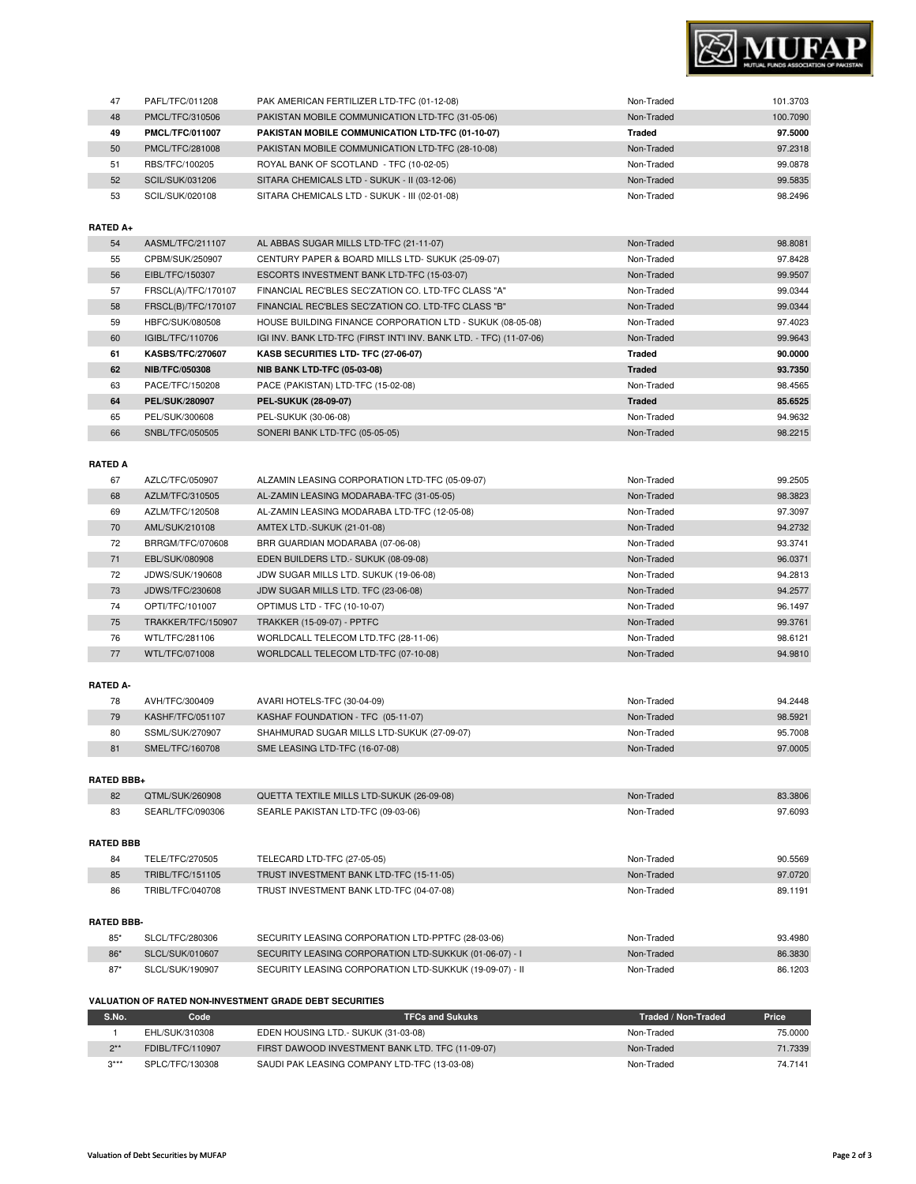

| 47              | PAFL/TFC/011208         | PAK AMERICAN FERTILIZER LTD-TFC (01-12-08)                          | Non-Traded    | 101.3703 |
|-----------------|-------------------------|---------------------------------------------------------------------|---------------|----------|
| 48              | PMCL/TFC/310506         | PAKISTAN MOBILE COMMUNICATION LTD-TFC (31-05-06)                    | Non-Traded    | 100.7090 |
| 49              | <b>PMCL/TFC/011007</b>  | PAKISTAN MOBILE COMMUNICATION LTD-TFC (01-10-07)                    | <b>Traded</b> | 97.5000  |
| 50              | PMCL/TFC/281008         | PAKISTAN MOBILE COMMUNICATION LTD-TFC (28-10-08)                    | Non-Traded    | 97.2318  |
| 51              | RBS/TFC/100205          | ROYAL BANK OF SCOTLAND - TFC (10-02-05)                             | Non-Traded    | 99.0878  |
| 52              | SCIL/SUK/031206         | SITARA CHEMICALS LTD - SUKUK - II (03-12-06)                        | Non-Traded    | 99.5835  |
| 53              | SCIL/SUK/020108         | SITARA CHEMICALS LTD - SUKUK - III (02-01-08)                       | Non-Traded    | 98.2496  |
|                 |                         |                                                                     |               |          |
| RATED A+        |                         |                                                                     |               |          |
| 54              | AASML/TFC/211107        | AL ABBAS SUGAR MILLS LTD-TFC (21-11-07)                             | Non-Traded    | 98.8081  |
| 55              | CPBM/SUK/250907         | CENTURY PAPER & BOARD MILLS LTD- SUKUK (25-09-07)                   | Non-Traded    | 97.8428  |
| 56              | EIBL/TFC/150307         | ESCORTS INVESTMENT BANK LTD-TFC (15-03-07)                          | Non-Traded    | 99.9507  |
| 57              | FRSCL(A)/TFC/170107     | FINANCIAL REC'BLES SEC'ZATION CO. LTD-TFC CLASS "A"                 | Non-Traded    | 99.0344  |
| 58              | FRSCL(B)/TFC/170107     | FINANCIAL REC'BLES SEC'ZATION CO. LTD-TFC CLASS "B"                 | Non-Traded    | 99.0344  |
| 59              | HBFC/SUK/080508         | HOUSE BUILDING FINANCE CORPORATION LTD - SUKUK (08-05-08)           | Non-Traded    | 97.4023  |
| 60              | IGIBL/TFC/110706        | IGI INV. BANK LTD-TFC (FIRST INT'I INV. BANK LTD. - TFC) (11-07-06) | Non-Traded    | 99.9643  |
| 61              | <b>KASBS/TFC/270607</b> | KASB SECURITIES LTD- TFC (27-06-07)                                 | <b>Traded</b> | 90.0000  |
| 62              | NIB/TFC/050308          | <b>NIB BANK LTD-TFC (05-03-08)</b>                                  | <b>Traded</b> | 93.7350  |
| 63              | PACE/TFC/150208         | PACE (PAKISTAN) LTD-TFC (15-02-08)                                  | Non-Traded    | 98.4565  |
| 64              | <b>PEL/SUK/280907</b>   | PEL-SUKUK (28-09-07)                                                | <b>Traded</b> | 85.6525  |
| 65              | PEL/SUK/300608          | PEL-SUKUK (30-06-08)                                                | Non-Traded    | 94.9632  |
| 66              | SNBL/TFC/050505         | SONERI BANK LTD-TFC (05-05-05)                                      | Non-Traded    | 98.2215  |
|                 |                         |                                                                     |               |          |
| <b>RATED A</b>  |                         |                                                                     |               |          |
| 67              | AZLC/TFC/050907         | ALZAMIN LEASING CORPORATION LTD-TFC (05-09-07)                      | Non-Traded    | 99.2505  |
| 68              | AZLM/TFC/310505         | AL-ZAMIN LEASING MODARABA-TFC (31-05-05)                            | Non-Traded    | 98.3823  |
| 69              | AZLM/TFC/120508         | AL-ZAMIN LEASING MODARABA LTD-TFC (12-05-08)                        | Non-Traded    | 97.3097  |
| 70              | AML/SUK/210108          | AMTEX LTD.-SUKUK (21-01-08)                                         | Non-Traded    | 94.2732  |
| 72              | BRRGM/TFC/070608        | BRR GUARDIAN MODARABA (07-06-08)                                    | Non-Traded    | 93.3741  |
| 71              | EBL/SUK/080908          | EDEN BUILDERS LTD. - SUKUK (08-09-08)                               | Non-Traded    | 96.0371  |
| 72              | JDWS/SUK/190608         | JDW SUGAR MILLS LTD. SUKUK (19-06-08)                               | Non-Traded    | 94.2813  |
| 73              | JDWS/TFC/230608         | JDW SUGAR MILLS LTD. TFC (23-06-08)                                 | Non-Traded    | 94.2577  |
| 74              | OPTI/TFC/101007         | OPTIMUS LTD - TFC (10-10-07)                                        | Non-Traded    | 96.1497  |
| 75              | TRAKKER/TFC/150907      | <b>TRAKKER (15-09-07) - PPTFC</b>                                   | Non-Traded    | 99.3761  |
| 76              | WTL/TFC/281106          | WORLDCALL TELECOM LTD.TFC (28-11-06)                                | Non-Traded    | 98.6121  |
| 77              | WTL/TFC/071008          | WORLDCALL TELECOM LTD-TFC (07-10-08)                                | Non-Traded    | 94.9810  |
|                 |                         |                                                                     |               |          |
| <b>RATED A-</b> |                         |                                                                     |               |          |
|                 |                         |                                                                     |               |          |

| 78 | AVH/TFC/300409   | AVARI HOTELS-TFC (30-04-09)                | Non-Traded | 94.2448 |
|----|------------------|--------------------------------------------|------------|---------|
| 79 | KASHF/TFC/051107 | KASHAF FOUNDATION - TFC (05-11-07)         | Non-Traded | 98.5921 |
| 80 | SSML/SUK/270907  | SHAHMURAD SUGAR MILLS LTD-SUKUK (27-09-07) | Non-Traded | 95.7008 |
| 81 | SMEL/TFC/160708  | SME LEASING LTD-TFC (16-07-08)             | Non-Traded | 97,0005 |

### **RATED BBB+**

|                   | 82               | QTML/SUK/260908  | QUETTA TEXTILE MILLS LTD-SUKUK (26-09-08)         | Non-Traded | 83.3806 |
|-------------------|------------------|------------------|---------------------------------------------------|------------|---------|
|                   | 83               | SEARL/TFC/090306 | SEARLE PAKISTAN LTD-TFC (09-03-06)                | Non-Traded | 97.6093 |
|                   | <b>RATED BBB</b> |                  |                                                   |            |         |
|                   | 84               | TELE/TFC/270505  | TELECARD LTD-TFC (27-05-05)                       | Non-Traded | 90.5569 |
|                   | 85               | TRIBL/TFC/151105 | TRUST INVESTMENT BANK LTD-TFC (15-11-05)          | Non-Traded | 97.0720 |
|                   | 86               | TRIBL/TFC/040708 | TRUST INVESTMENT BANK LTD-TFC (04-07-08)          | Non-Traded | 89.1191 |
| <b>RATED BBB-</b> |                  |                  |                                                   |            |         |
|                   | $85*$            | SLCL/TFC/280306  | SECURITY LEASING CORPORATION LTD-PPTFC (28-03-06) | Non-Traded | 93.4980 |
|                   |                  |                  |                                                   |            |         |

| $86*$<br>SECURITY LEASING CORPORATION LTD-SUKKUK (01-06-07) - I<br>SLCL/SUK/010607<br>Non-Traded<br>SECURITY LEASING CORPORATION LTD-SUKKUK (19-09-07) - II<br>$87*$<br>SLCL/SUK/190907<br>Non-Traded | vu. Tuu |
|-------------------------------------------------------------------------------------------------------------------------------------------------------------------------------------------------------|---------|
|                                                                                                                                                                                                       | 86.3830 |
|                                                                                                                                                                                                       | 86.1203 |

## **VALUATION OF RATED NON-INVESTMENT GRADE DEBT SECURITIES**

| S.No.  | Code <sup>-</sup> | <b>TFCs and Sukuks</b>                           | Traded / Non-Traded | Price   |
|--------|-------------------|--------------------------------------------------|---------------------|---------|
|        | EHL/SUK/310308    | EDEN HOUSING LTD.- SUKUK (31-03-08)              | Non-Traded          | 75,0000 |
| $2**$  | FDIBL/TFC/110907  | FIRST DAWOOD INVESTMENT BANK LTD. TFC (11-09-07) | Non-Traded          | 71.7339 |
| $3***$ | SPLC/TFC/130308   | SAUDI PAK LEASING COMPANY LTD-TFC (13-03-08)     | Non-Traded          | 74.7141 |